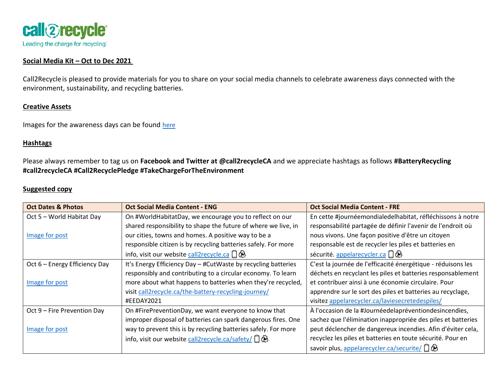

## **Social Media Kit – Oct to Dec 2021**

Call2Recycleis pleased to provide materials for you to share on your social media channels to celebrate awareness days connected with the environment, sustainability, and recycling batteries.

## **Creative Assets**

Images for the awareness days can be found [here](https://drive.google.com/drive/folders/10yNbiMWE6ykbtIA7Xou9vOuoLDvQ6Ag9?usp=sharing)

## **Hashtags**

Please always remember to tag us on **Facebook and Twitter at @call2recycleCA** and we appreciate hashtags as follows **#BatteryRecycling #call2recycleCA #Call2RecyclePledge #TakeChargeForTheEnvironment**

## **Suggested copy**

| <b>Oct Dates &amp; Photos</b> | <b>Oct Social Media Content - ENG</b>                          | <b>Oct Social Media Content - FRE</b>                        |
|-------------------------------|----------------------------------------------------------------|--------------------------------------------------------------|
| Oct 5 - World Habitat Day     | On #WorldHabitatDay, we encourage you to reflect on our        | En cette #journéemondialedelhabitat, réfléchissons à notre   |
|                               | shared responsibility to shape the future of where we live, in | responsabilité partagée de définir l'avenir de l'endroit où  |
| Image for post                | our cities, towns and homes. A positive way to be a            | nous vivons. Une façon positive d'être un citoyen            |
|                               | responsible citizen is by recycling batteries safely. For more | responsable est de recycler les piles et batteries en        |
|                               | info, visit our website call2recycle.ca $\Box \bigotimes$      | sécurité. appelarecycler.ca                                  |
| Oct 6 - Energy Efficiency Day | It's Energy Efficiency Day - #CutWaste by recycling batteries  | C'est la journée de l'efficacité énergétique - réduisons les |
|                               | responsibly and contributing to a circular economy. To learn   | déchets en recyclant les piles et batteries responsablement  |
| Image for post                | more about what happens to batteries when they're recycled,    | et contribuer ainsi à une économie circulaire. Pour          |
|                               | visit call2recycle.ca/the-battery-recycling-journey/           | apprendre sur le sort des piles et batteries au recyclage,   |
|                               | #EEDAY2021                                                     | visitez appelarecycler.ca/laviesecretedespiles/              |
| Oct 9 - Fire Prevention Day   | On #FirePreventionDay, we want everyone to know that           | À l'occasion de la #Journéedelapréventiondesincendies,       |
|                               | improper disposal of batteries can spark dangerous fires. One  | sachez que l'élimination inappropriée des piles et batteries |
| Image for post                | way to prevent this is by recycling batteries safely. For more | peut déclencher de dangereux incendies. Afin d'éviter cela,  |
|                               | info, visit our website call2recycle.ca/safety/ $\Box \otimes$ | recyclez les piles et batteries en toute sécurité. Pour en   |
|                               |                                                                | savoir plus, appelarecycler.ca/securite/ $\Box$ $\otimes$    |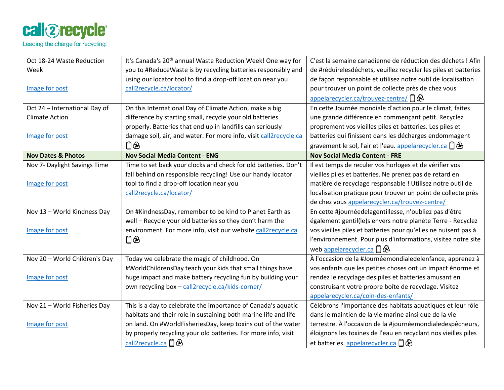

| Oct 18-24 Waste Reduction     | It's Canada's 20 <sup>th</sup> annual Waste Reduction Week! One way for | C'est la semaine canadienne de réduction des déchets ! Afin           |
|-------------------------------|-------------------------------------------------------------------------|-----------------------------------------------------------------------|
| Week                          | you to #ReduceWaste is by recycling batteries responsibly and           | de #réduirelesdéchets, veuillez recycler les piles et batteries       |
|                               | using our locator tool to find a drop-off location near you             | de façon responsable et utilisez notre outil de localisation          |
| Image for post                | call2recycle.ca/locator/                                                | pour trouver un point de collecte près de chez vous                   |
|                               |                                                                         | appelarecycler.ca/trouvez-centre/                                     |
| Oct 24 - International Day of | On this International Day of Climate Action, make a big                 | En cette Journée mondiale d'action pour le climat, faites             |
| <b>Climate Action</b>         | difference by starting small, recycle your old batteries                | une grande différence en commençant petit. Recyclez                   |
|                               | properly. Batteries that end up in landfills can seriously              | proprement vos vieilles piles et batteries. Les piles et              |
| Image for post                | damage soil, air, and water. For more info, visit call2recycle.ca       | batteries qui finissent dans les décharges endommagent                |
|                               |                                                                         | gravement le sol, l'air et l'eau. appelarecycler.ca $\Box \bigotimes$ |
| <b>Nov Dates &amp; Photos</b> | <b>Nov Social Media Content - ENG</b>                                   | <b>Nov Social Media Content - FRE</b>                                 |
| Nov 7- Daylight Savings Time  | Time to set back your clocks and check for old batteries. Don't         | Il est temps de reculer vos horloges et de vérifier vos               |
|                               | fall behind on responsible recycling! Use our handy locator             | vieilles piles et batteries. Ne prenez pas de retard en               |
| Image for post                | tool to find a drop-off location near you                               | matière de recyclage responsable ! Utilisez notre outil de            |
|                               | call2recycle.ca/locator/                                                | localisation pratique pour trouver un point de collecte près          |
|                               |                                                                         | de chez vous appelarecycler.ca/trouvez-centre/                        |
| Nov 13 - World Kindness Day   | On #KindnessDay, remember to be kind to Planet Earth as                 | En cette #journéedelagentillesse, n'oubliez pas d'être                |
|                               | well - Recycle your old batteries so they don't harm the                | également gentil(le)s envers notre planète Terre - Recyclez           |
| Image for post                | environment. For more info, visit our website call2recycle.ca           | vos vieilles piles et batteries pour qu'elles ne nuisent pas à        |
|                               |                                                                         | l'environnement. Pour plus d'informations, visitez notre site         |
|                               |                                                                         | web appelarecycler.ca $\Box \otimes$                                  |
| Nov 20 - World Children's Day | Today we celebrate the magic of childhood. On                           | À l'occasion de la #Journéemondialedelenfance, apprenez à             |
|                               | #WorldChildrensDay teach your kids that small things have               | vos enfants que les petites choses ont un impact énorme et            |
| Image for post                | huge impact and make battery recycling fun by building your             | rendez le recyclage des piles et batteries amusant en                 |
|                               | own recycling box - call2recycle.ca/kids-corner/                        | construisant votre propre boîte de recyclage. Visitez                 |
|                               |                                                                         | appelarecycler.ca/coin-des-enfants/                                   |
| Nov 21 - World Fisheries Day  | This is a day to celebrate the importance of Canada's aquatic           | Célébrons l'importance des habitats aquatiques et leur rôle           |
|                               | habitats and their role in sustaining both marine life and life         | dans le maintien de la vie marine ainsi que de la vie                 |
| Image for post                | on land. On #WorldFisheriesDay, keep toxins out of the water            | terrestre. À l'occasion de la #journéemondialedespêcheurs,            |
|                               | by properly recycling your old batteries. For more info, visit          | éloignons les toxines de l'eau en recyclant nos vieilles piles        |
|                               | call2recycle.ca $\Box$ $\bigcirc$                                       | et batteries. appelarecycler.ca $\Box \bigotimes$                     |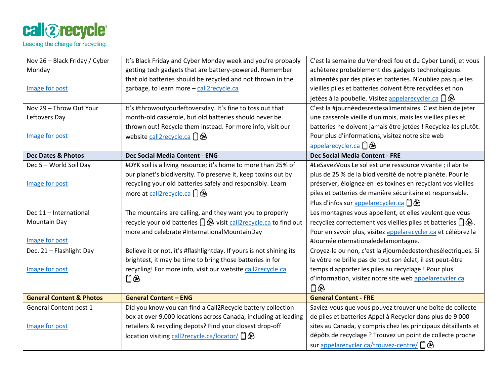

| Nov 26 - Black Friday / Cyber       | It's Black Friday and Cyber Monday week and you're probably             | C'est la semaine du Vendredi fou et du Cyber Lundi, et vous        |
|-------------------------------------|-------------------------------------------------------------------------|--------------------------------------------------------------------|
| Monday                              | getting tech gadgets that are battery-powered. Remember                 | achèterez probablement des gadgets technologiques                  |
|                                     | that old batteries should be recycled and not thrown in the             | alimentés par des piles et batteries. N'oubliez pas que les        |
| Image for post                      | garbage, to learn more - call2recycle.ca                                | vieilles piles et batteries doivent être recyclées et non          |
|                                     |                                                                         | jetées à la poubelle. Visitez appelarecycler.ca $\Box \otimes$     |
| Nov 29 - Throw Out Your             | It's #throwoutyourleftoversday. It's fine to toss out that              | C'est la #journéedesrestesalimentaires. C'est bien de jeter        |
| Leftovers Day                       | month-old casserole, but old batteries should never be                  | une casserole vieille d'un mois, mais les vieilles piles et        |
|                                     | thrown out! Recycle them instead. For more info, visit our              | batteries ne doivent jamais être jetées ! Recyclez-les plutôt.     |
| Image for post                      | website call2recycle.ca                                                 | Pour plus d'informations, visitez notre site web                   |
|                                     |                                                                         | appelarecycler.ca $\Box \otimes$                                   |
| <b>Dec Dates &amp; Photos</b>       | Dec Social Media Content - ENG                                          | <b>Dec Social Media Content - FRE</b>                              |
| Dec 5 - World Soil Day              | #DYK soil is a living resource; it's home to more than 25% of           | #LeSavezVous Le sol est une ressource vivante ; il abrite          |
|                                     | our planet's biodiversity. To preserve it, keep toxins out by           | plus de 25 % de la biodiversité de notre planète. Pour le          |
| Image for post                      | recycling your old batteries safely and responsibly. Learn              | préserver, éloignez-en les toxines en recyclant vos vieilles       |
|                                     | more at call2recycle.ca $\Box \bigotimes$                               | piles et batteries de manière sécuritaire et responsable.          |
|                                     |                                                                         | Plus d'infos sur appelarecycler.ca $\square \otimes$               |
| Dec 11 - International              | The mountains are calling, and they want you to properly                | Les montagnes vous appellent, et elles veulent que vous            |
| Mountain Day                        | recycle your old batteries $\Box$ & visit call 2 recycle.ca to find out | recycliez correctement vos vieilles piles et batteries $\Box \&$ . |
|                                     | more and celebrate #InternationalMountainDay                            | Pour en savoir plus, visitez appelarecycler.ca et célébrez la      |
| Image for post                      |                                                                         | #Journéeinternationaledelamontagne.                                |
| Dec. 21 - Flashlight Day            | Believe it or not, it's #flashlightday. If yours is not shining its     | Croyez-le ou non, c'est la #journéedestorchesélectriques. Si       |
|                                     | brightest, it may be time to bring those batteries in for               | la vôtre ne brille pas de tout son éclat, il est peut-être         |
| Image for post                      | recycling! For more info, visit our website call2recycle.ca             | temps d'apporter les piles au recyclage ! Pour plus                |
|                                     |                                                                         | d'information, visitez notre site web appelarecycler.ca            |
|                                     |                                                                         | ∩                                                                  |
| <b>General Content &amp; Photos</b> | <b>General Content - ENG</b>                                            | <b>General Content - FRE</b>                                       |
| General Content post 1              | Did you know you can find a Call2Recycle battery collection             | Saviez-vous que vous pouvez trouver une boîte de collecte          |
|                                     | box at over 9,000 locations across Canada, including at leading         | de piles et batteries Appel à Recycler dans plus de 9 000          |
| Image for post                      | retailers & recycling depots? Find your closest drop-off                | sites au Canada, y compris chez les principaux détaillants et      |
|                                     | location visiting call2recycle.ca/locator/ 口a                           | dépôts de recyclage ? Trouvez un point de collecte proche          |
|                                     |                                                                         | sur appelarecycler.ca/trouvez-centre/ $\Box$                       |